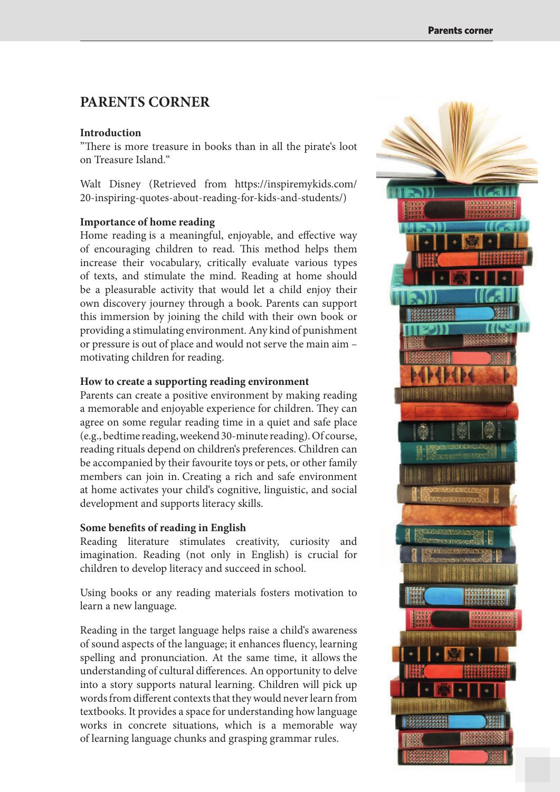# **PARENTS CORNER**

#### **Introduction**

"There is more treasure in books than in all the pirate's loot on Treasure Island."

Walt Disney (Retrieved from https://inspiremykids.com/ 20-inspiring-quotes-about-reading-for-kids-and-students/)

# **Importance of home reading**

Home reading is a meaningful, enjoyable, and effective way of encouraging children to read. This method helps them increase their vocabulary, critically evaluate various types of texts, and stimulate the mind. Reading at home should be a pleasurable activity that would let a child enjoy their own discovery journey through a book. Parents can support this immersion by joining the child with their own book or providing a stimulating environment. Any kind of punishment or pressure is out of place and would not serve the main aim – motivating children for reading.

# **How to create a supporting reading environment**

Parents can create a positive environment by making reading a memorable and enjoyable experience for children. They can agree on some regular reading time in a quiet and safe place (e.g., bedtime reading, weekend 30-minute reading). Of course, reading rituals depend on children's preferences. Children can be accompanied by their favourite toys or pets, or other family members can join in. Creating a rich and safe environment at home activates your child's cognitive, linguistic, and social development and supports literacy skills.

#### **Some benefits of reading in English**

Reading literature stimulates creativity, curiosity and imagination. Reading (not only in English) is crucial for children to develop literacy and succeed in school.

Using books or any reading materials fosters motivation to learn a new language.

Reading in the target language helps raise a child's awareness of sound aspects of the language; it enhances fluency, learning spelling and pronunciation. At the same time, it allows the understanding of cultural differences. An opportunity to delve into a story supports natural learning. Children will pick up words from different contexts that they would never learn from textbooks. It provides a space for understanding how language works in concrete situations, which is a memorable way of learning language chunks and grasping grammar rules.

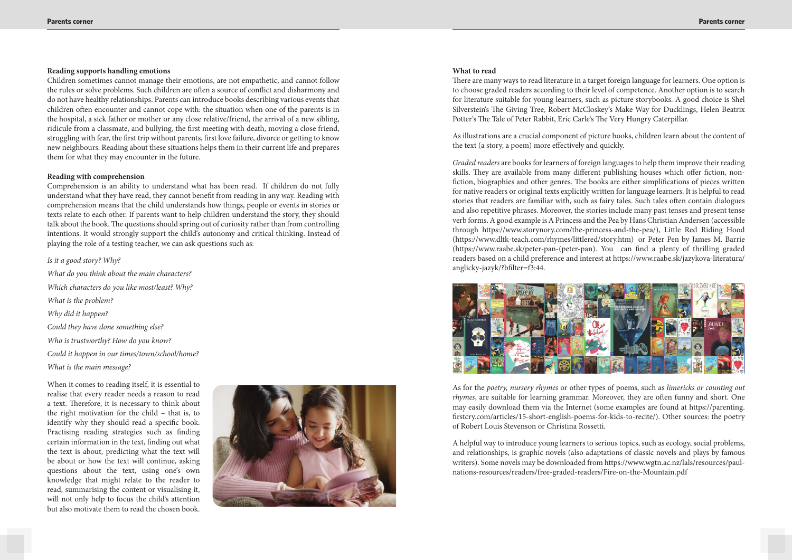# **Reading supports handling emotions**

Children sometimes cannot manage their emotions, are not empathetic, and cannot follow the rules or solve problems. Such children are often a source of conflict and disharmony and do not have healthy relationships. Parents can introduce books describing various events that children often encounter and cannot cope with: the situation when one of the parents is in the hospital, a sick father or mother or any close relative/friend, the arrival of a new sibling, ridicule from a classmate, and bullying, the first meeting with death, moving a close friend, struggling with fear, the first trip without parents, first love failure, divorce or getting to know new neighbours. Reading about these situations helps them in their current life and prepares them for what they may encounter in the future.

### **Reading with comprehension**

Comprehension is an ability to understand what has been read. If children do not fully understand what they have read, they cannot benefit from reading in any way. Reading with comprehension means that the child understands how things, people or events in stories or texts relate to each other. If parents want to help children understand the story, they should talk about the book. The questions should spring out of curiosity rather than from controlling intentions. It would strongly support the child's autonomy and critical thinking. Instead of playing the role of a testing teacher, we can ask questions such as:

As illustrations are a crucial component of picture books, children learn about the content of the text (a story, a poem) more effectively and quickly.

# *Is it a good story? Why?*

*Graded readers* are books for learners of foreign languages to help them improve their reading skills. They are available from many different publishing houses which offer fiction, nonfiction, biographies and other genres. The books are either simplifications of pieces written for native readers or original texts explicitly written for language learners. It is helpful to read stories that readers are familiar with, such as fairy tales. Such tales often contain dialogues and also repetitive phrases. Moreover, the stories include many past tenses and present tense verb forms. A good example is A Princess and the Pea by Hans Christian Andersen (accessible through https://www.storynory.com/the-princess-and-the-pea/), Little Red Riding Hood (https://www.dltk-teach.com/rhymes/littlered/story.htm) or Peter Pen by James M. Barrie (https://www.raabe.sk/peter-pan-(peter-pan). You can find a plenty of thrilling graded readers based on a child preference and interest at https://www.raabe.sk/jazykova-literatura/ anglicky-jazyk/?bfilter=f3:44.



*What do you think about the main characters? Which characters do you like most/least? Why? What is the problem? Why did it happen? Could they have done something else? Who is trustworthy? How do you know? Could it happen in our times/town/school/home? What is the main message?* 

When it comes to reading itself, it is essential to realise that every reader needs a reason to read a text. Therefore, it is necessary to think about the right motivation for the child – that is, to identify why they should read a specific book. Practising reading strategies such as finding certain information in the text, finding out what the text is about, predicting what the text will be about or how the text will continue, asking questions about the text, using one's own knowledge that might relate to the reader to read, summarising the content or visualising it, will not only help to focus the child's attention but also motivate them to read the chosen book.



#### **What to read**

There are many ways to read literature in a target foreign language for learners. One option is to choose graded readers according to their level of competence. Another option is to search for literature suitable for young learners, such as picture storybooks. A good choice is Shel Silverstein's The Giving Tree, Robert McCloskey's Make Way for Ducklings, Helen Beatrix Potter's The Tale of Peter Rabbit, Eric Carle's The Very Hungry Caterpillar.

As for the *poetry, nursery rhymes* or other types of poems, such as *limericks or counting out rhymes*, are suitable for learning grammar. Moreover, they are often funny and short. One may easily download them via the Internet (some examples are found at https://parenting. rstcry.com/articles/15-short-english-poems-for-kids-to-recite/). Other sources: the poetry of Robert Louis Stevenson or Christina Rossetti.

A helpful way to introduce young learners to serious topics, such as ecology, social problems, and relationships, is graphic novels (also adaptations of classic novels and plays by famous writers). Some novels may be downloaded from https://www.wgtn.ac.nz/lals/resources/paulnations-resources/readers/free-graded-readers/Fire-on-the-Mountain.pdf